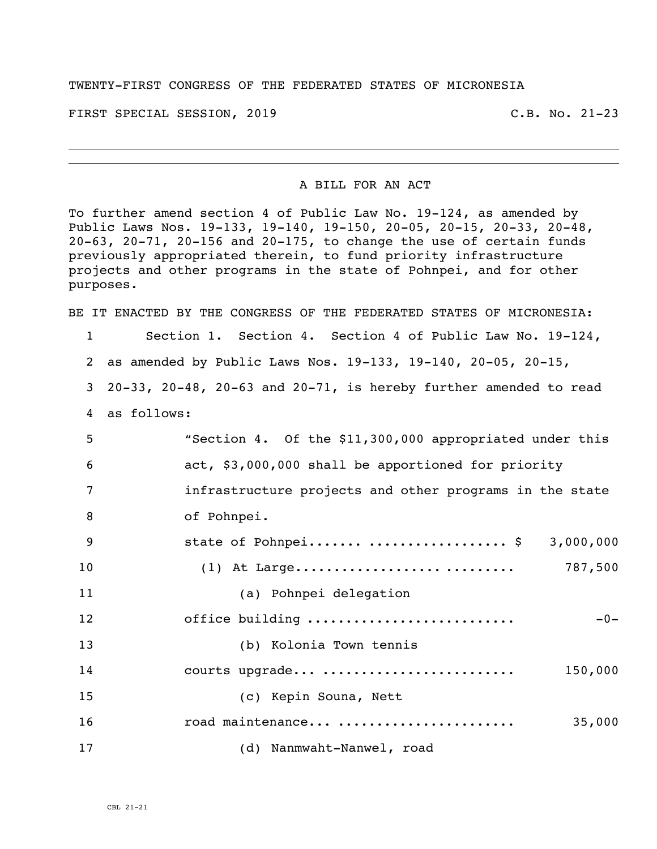## TWENTY-FIRST CONGRESS OF THE FEDERATED STATES OF MICRONESIA

FIRST SPECIAL SESSION, 2019 C.B. No. 21-23

## A BILL FOR AN ACT

To further amend section 4 of Public Law No. 19-124, as amended by Public Laws Nos. 19-133, 19-140, 19-150, 20-05, 20-15, 20-33, 20-48, 20-63, 20-71, 20-156 and 20-175, to change the use of certain funds previously appropriated therein, to fund priority infrastructure projects and other programs in the state of Pohnpei, and for other purposes.

BE IT ENACTED BY THE CONGRESS OF THE FEDERATED STATES OF MICRONESIA:

Section 1. Section 4. Section 4 of Public Law No. 19-124,

as amended by Public Laws Nos. 19-133, 19-140, 20-05, 20-15,

20-33, 20-48, 20-63 and 20-71, is hereby further amended to read

as follows:

| 5  | "Section 4. Of the \$11,300,000 appropriated under this |
|----|---------------------------------------------------------|
| 6  | act, \$3,000,000 shall be apportioned for priority      |
| 7  | infrastructure projects and other programs in the state |
| 8  | of Pohnpei.                                             |
| 9  | state of Pohnpei  \$ 3,000,000                          |
| 10 | 787,500                                                 |
| 11 | (a) Pohnpei delegation                                  |
| 12 | office building<br>$-0-$                                |
| 13 | (b) Kolonia Town tennis                                 |
| 14 | courts upgrade<br>150,000                               |
| 15 | (c) Kepin Souna, Nett                                   |
| 16 | road maintenance<br>35,000                              |
| 17 | (d) Nanmwaht-Nanwel, road                               |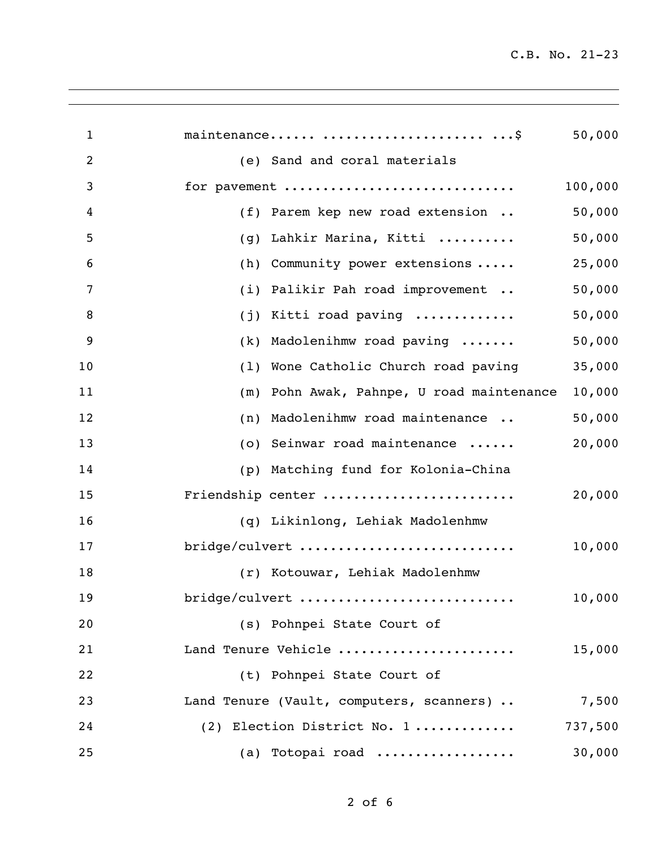| $\mathbf 1$ | maintenance  \$                              | 50,000  |
|-------------|----------------------------------------------|---------|
| 2           | (e) Sand and coral materials                 |         |
| 3           | for pavement                                 | 100,000 |
| 4           | (f) Parem kep new road extension             | 50,000  |
| 5           | Lahkir Marina, Kitti<br>(g)                  | 50,000  |
| 6           | Community power extensions<br>(h)            | 25,000  |
| 7           | Palikir Pah road improvement<br>(i)          | 50,000  |
| 8           | Kitti road paving<br>(j)                     | 50,000  |
| 9           | Madolenihmw road paving<br>(k)               | 50,000  |
| 10          | Wone Catholic Church road paving<br>(1)      | 35,000  |
| 11          | Pohn Awak, Pahnpe, U road maintenance<br>(m) | 10,000  |
| 12          | Madolenihmw road maintenance<br>(n)          | 50,000  |
| 13          | Seinwar road maintenance<br>(0)              | 20,000  |
| 14          | Matching fund for Kolonia-China<br>(p)       |         |
| 15          | Friendship center                            | 20,000  |
| 16          | (q) Likinlong, Lehiak Madolenhmw             |         |
| 17          | bridge/culvert                               | 10,000  |
| 18          | (r) Kotouwar, Lehiak Madolenhmw              |         |
| 19          | bridge/culvert                               | 10,000  |
| 20          | (s) Pohnpei State Court of                   |         |
| 21          | Land Tenure Vehicle                          | 15,000  |
| 22          | (t) Pohnpei State Court of                   |         |
| 23          | Land Tenure (Vault, computers, scanners)     | 7,500   |
| 24          | (2) Election District No. 1                  | 737,500 |
| 25          | (a) Totopai road                             | 30,000  |
|             |                                              |         |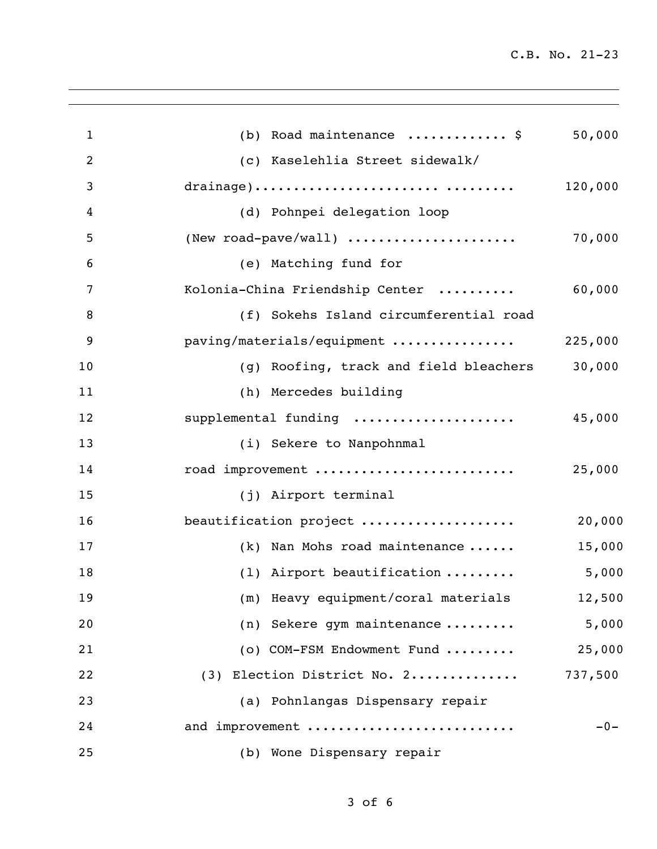C.B. No. 21-23

| 1              | (b) Road maintenance  \$               | 50,000  |
|----------------|----------------------------------------|---------|
| $\overline{2}$ | (c) Kaselehlia Street sidewalk/        |         |
| 3              | drainage)                              | 120,000 |
| 4              | (d) Pohnpei delegation loop            |         |
| 5              | (New road-pave/wall)                   | 70,000  |
| 6              | (e) Matching fund for                  |         |
| 7              | Kolonia-China Friendship Center        | 60,000  |
| 8              | (f) Sokehs Island circumferential road |         |
| 9              | paving/materials/equipment             | 225,000 |
| 10             | (g) Roofing, track and field bleachers | 30,000  |
| 11             | (h) Mercedes building                  |         |
| 12             | supplemental funding                   | 45,000  |
| 13             | (i) Sekere to Nanpohnmal               |         |
| 14             | road improvement                       | 25,000  |
| 15             | (j) Airport terminal                   |         |
| 16             | beautification project                 | 20,000  |
| 17             | $(k)$ Nan Mohs road maintenance        | 15,000  |
| 18             | (1) Airport beautification             | 5,000   |
| 19             | (m) Heavy equipment/coral materials    | 12,500  |
| 20             | (n) Sekere gym maintenance             | 5,000   |
| 21             | (o) COM-FSM Endowment Fund             | 25,000  |
| 22             | (3) Election District No. 2            | 737,500 |
| 23             | (a) Pohnlangas Dispensary repair       |         |
| 24             | and improvement                        | $-0-$   |
| 25             | (b) Wone Dispensary repair             |         |
|                |                                        |         |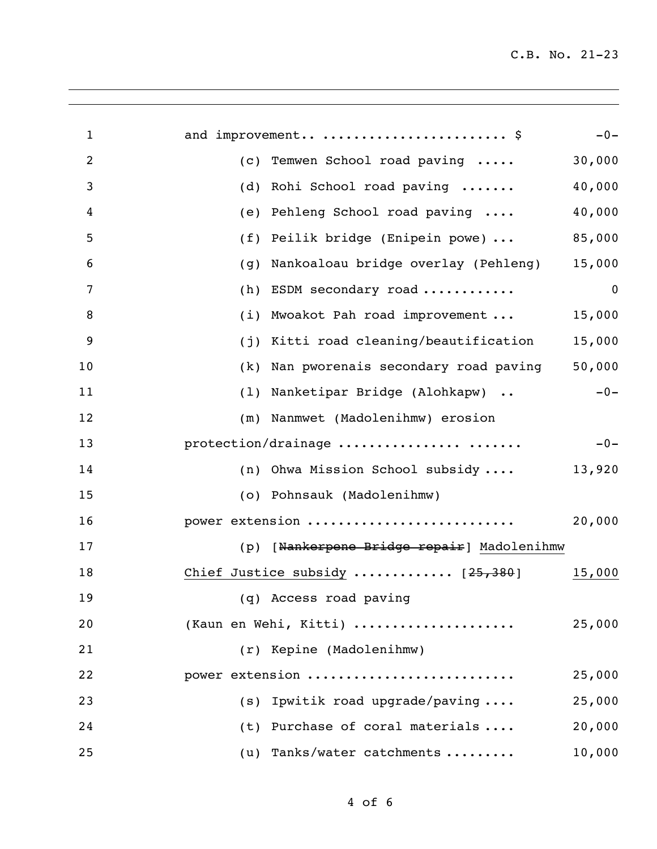| $\mathbf{1}$   | and improvement  \$                        | $-0-$            |
|----------------|--------------------------------------------|------------------|
| $\overline{2}$ | Temwen School road paving<br>(c)           | 30,000           |
| 3              | Rohi School road paving<br>(d)             | 40,000           |
| 4              | Pehleng School road paving<br>(e)          | 40,000           |
| 5              | Peilik bridge (Enipein powe)<br>(f)        | 85,000           |
| 6              | Nankoaloau bridge overlay (Pehleng)<br>(g) | 15,000           |
| 7              | ESDM secondary road<br>(h)                 | $\boldsymbol{0}$ |
| 8              | Mwoakot Pah road improvement<br>(i)        | 15,000           |
| 9              | Kitti road cleaning/beautification<br>(j)  | 15,000           |
| 10             | Nan pworenais secondary road paving<br>(k) | 50,000           |
| 11             | Nanketipar Bridge (Alohkapw)<br>(1)        | $-0-$            |
| 12             | Nanmwet (Madolenihmw) erosion<br>(m)       |                  |
| 13             | protection/drainage                        | $-0-$            |
| 14             | Ohwa Mission School subsidy<br>(n)         | 13,920           |
| 15             | (o) Pohnsauk (Madolenihmw)                 |                  |
| 16             | power extension                            | 20,000           |
| 17             | (p) [Nankerpene Bridge repair] Madolenihmw |                  |
| 18             | Chief Justice subsidy  [25,380]            | 15,000           |
| 19             | (q) Access road paving                     |                  |
| 20             | (Kaun en Wehi, Kitti)                      | 25,000           |
| 21             | (r) Kepine (Madolenihmw)                   |                  |
| 22             | power extension                            | 25,000           |
| 23             | $(s)$ Ipwitik road upgrade/paving          | 25,000           |
| 24             | (t) Purchase of coral materials            | 20,000           |
| 25             | (u) Tanks/water catchments                 | 10,000           |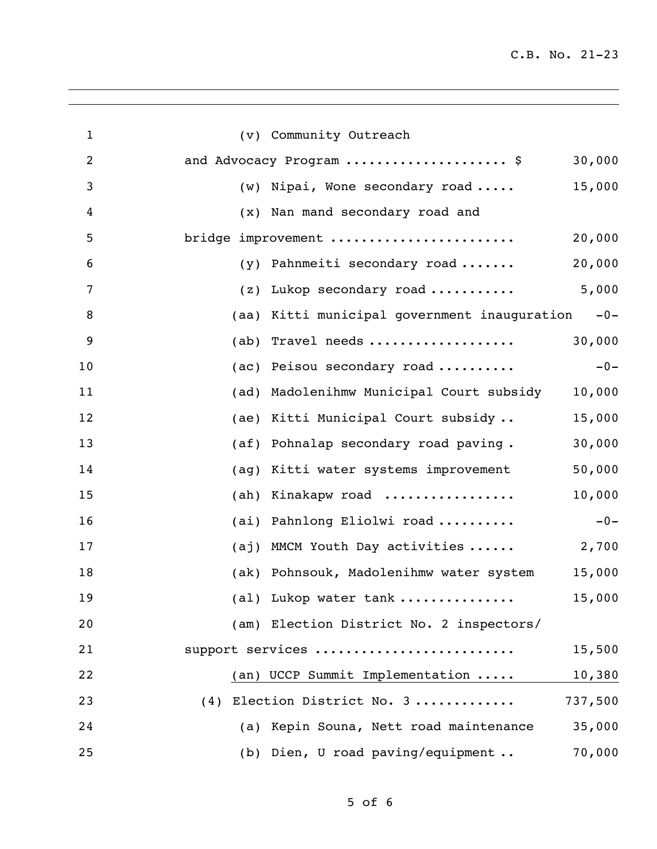C.B. No. 21-23

| $\mathbf{1}$   | (v) Community Outreach                                   |
|----------------|----------------------------------------------------------|
| $\overline{2}$ | 30,000<br>and Advocacy Program  \$                       |
| 3              | 15,000<br>Nipai, Wone secondary road<br>(w)              |
| 4              | Nan mand secondary road and<br>$(\mathbf{x})$            |
| 5              | 20,000<br>bridge improvement                             |
| 6              | 20,000<br>Pahnmeiti secondary road<br>(y)                |
| 7              | 5,000<br>Lukop secondary road<br>(z)                     |
| 8              | Kitti municipal government inauguration<br>$-0-$<br>(aa) |
| 9              | 30,000<br>Travel needs<br>(ab)                           |
| 10             | $-0-$<br>Peisou secondary road<br>(ac)                   |
| 11             | Madolenihmw Municipal Court subsidy<br>10,000<br>(ad)    |
| 12             | (ae) Kitti Municipal Court subsidy<br>15,000             |
| 13             | 30,000<br>Pohnalap secondary road paving.<br>(a f)       |
| 14             | 50,000<br>Kitti water systems improvement<br>(ag)        |
| 15             | 10,000<br>Kinakapw road<br>(ah)                          |
| 16             | (ai) Pahnlong Eliolwi road<br>$-0-$                      |
| 17             | 2,700<br>(aj) MMCM Youth Day activities                  |
| 18             | (ak) Pohnsouk, Madolenihmw water system<br>15,000        |
| 19             | 15,000<br>(al) Lukop water tank                          |
| 20             | (am) Election District No. 2 inspectors/                 |
| 21             | support services<br>15,500                               |
| 22             | (an) UCCP Summit Implementation<br>10,380                |
| 23             | (4) Election District No. 3<br>737,500                   |
| 24             | 35,000<br>(a) Kepin Souna, Nett road maintenance         |
| 25             | 70,000<br>(b) Dien, U road paving/equipment              |